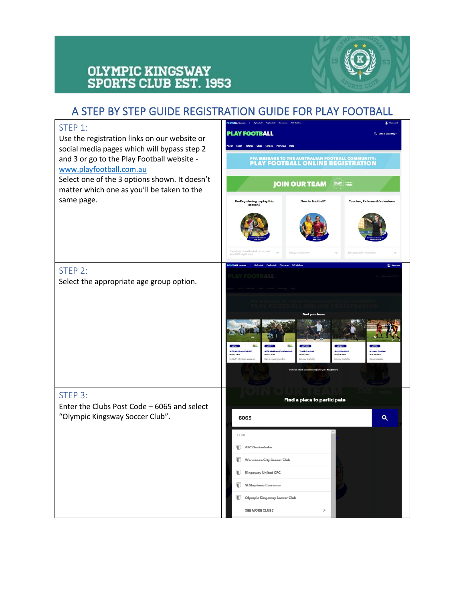# **OLYMPIC KINGSWAY<br>SPORTS CLUB EST. 1953**



## A STEP BY STEP GUIDE REGISTRATION GUIDE FOR PLAY FOOTBALL

| STEP 1:<br>Use the registration links on our website or<br>social media pages which will bypass step 2 | PLAY FOOTBALL                                                                                                                                                                                                                                                                                        |  |  |  |
|--------------------------------------------------------------------------------------------------------|------------------------------------------------------------------------------------------------------------------------------------------------------------------------------------------------------------------------------------------------------------------------------------------------------|--|--|--|
| and 3 or go to the Play Football website -<br>www.playfootball.com.au                                  | FFA MESSAGE TO THE AUSTRALIAN FOOTBALL COMMUNITY:<br><b>PLAY FOOTBALL ONLINE REGISTRATION</b>                                                                                                                                                                                                        |  |  |  |
| Select one of the 3 options shown. It doesn't<br>matter which one as you'll be taken to the            | <b>JOIN OUR TEAM</b><br>PLAY rebel                                                                                                                                                                                                                                                                   |  |  |  |
| same page.                                                                                             | New to Football?<br>Coaches, Referees & Volunteers<br>Re-Registering to play this<br>season?                                                                                                                                                                                                         |  |  |  |
|                                                                                                        | If you have played football before, start<br>Find your Club Nov<br>Start your 2019 registo<br>your 2019 registration                                                                                                                                                                                 |  |  |  |
| STEP 2:                                                                                                | <b>DOTBALL No</b>                                                                                                                                                                                                                                                                                    |  |  |  |
| Select the appropriate age group option.                                                               | LAY FOOTBALL                                                                                                                                                                                                                                                                                         |  |  |  |
|                                                                                                        | Find your team<br>She<br><b>ALDI MI</b><br>WIXED   GIRLS<br>MODED LGIBLS<br><b>BOYS   GIRLS</b><br>MEN   WOMEN<br><b>MEN   WOMER</b><br>Sign up to your local club<br>loin your local club<br>oin your local club<br>Kego on playing<br>Fontball's istraductory.<br>hich program is right for you? I |  |  |  |
| STEP 3:<br>Enter the Clubs Post Code - 6065 and select                                                 | Find a place to participate                                                                                                                                                                                                                                                                          |  |  |  |
| "Olympic Kingsway Soccer Club".                                                                        | Q<br>6065                                                                                                                                                                                                                                                                                            |  |  |  |
|                                                                                                        | <b>CLUB</b>                                                                                                                                                                                                                                                                                          |  |  |  |
|                                                                                                        | AFC Gortankaku<br>Wanneroo City Soccer Club                                                                                                                                                                                                                                                          |  |  |  |
|                                                                                                        | Kingsway United CFC                                                                                                                                                                                                                                                                                  |  |  |  |
|                                                                                                        | St Stephens Carramar<br>Olympic Kingsway Soccer Club                                                                                                                                                                                                                                                 |  |  |  |
|                                                                                                        | SEE MORE CLUBS<br>⋋                                                                                                                                                                                                                                                                                  |  |  |  |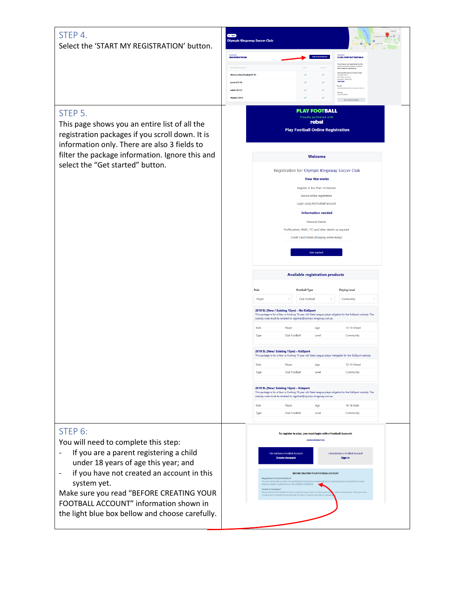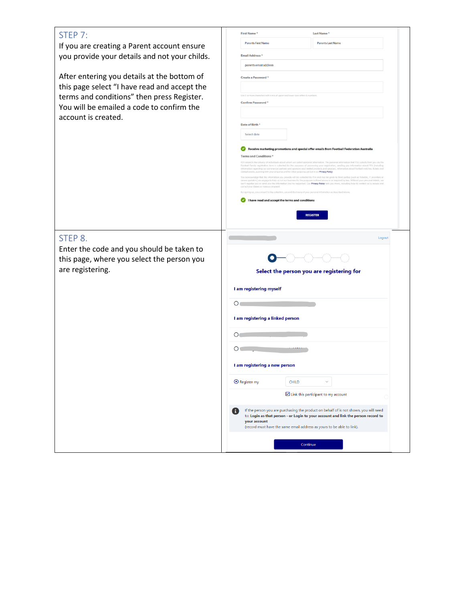| STEP 7:                                       | <b>First Name</b><br><b>Last Name</b>                                                                                                                                                                                                                                                                                                                                                                                             |
|-----------------------------------------------|-----------------------------------------------------------------------------------------------------------------------------------------------------------------------------------------------------------------------------------------------------------------------------------------------------------------------------------------------------------------------------------------------------------------------------------|
| If you are creating a Parent account ensure   | <b>Parents First Name</b><br><b>Parents Last Name</b>                                                                                                                                                                                                                                                                                                                                                                             |
| you provide your details and not your childs. | Email Address *                                                                                                                                                                                                                                                                                                                                                                                                                   |
|                                               | parents email address                                                                                                                                                                                                                                                                                                                                                                                                             |
| After entering you details at the bottom of   | Create a Password *                                                                                                                                                                                                                                                                                                                                                                                                               |
| this page select "I have read and accept the  |                                                                                                                                                                                                                                                                                                                                                                                                                                   |
| terms and conditions" then press Register.    | or more characters with a mix of upper and lower case letters & number<br>Confirm Password *                                                                                                                                                                                                                                                                                                                                      |
| You will be emailed a code to confirm the     |                                                                                                                                                                                                                                                                                                                                                                                                                                   |
| account is created.                           | Date of Birth <sup>*</sup>                                                                                                                                                                                                                                                                                                                                                                                                        |
|                                               | Select date                                                                                                                                                                                                                                                                                                                                                                                                                       |
|                                               | Receive marketing promotions and special offer emails from Football Federation Australia                                                                                                                                                                                                                                                                                                                                          |
|                                               | <b>Terms and Conditions *</b><br>FFA respects the privacy of individuals about whom we collect personal information. The personal information that FFA collects from you via the                                                                                                                                                                                                                                                  |
|                                               | Football Family registration form is collected for the purposes of processing your registration, sending you information about FFA (including<br>Information regarding our commercial partners and sponsors and related products<br>d events, assisting with your enquiries and for other purposes set out in our Privacy Policy.                                                                                                 |
|                                               | nowledge that the information you provide will be collected by FFA and may be given to third parties (such as Ticketek, IT pro<br>anua operators) we engage to help us run our business for the purposes outlined above or as required by law. Without your personal details, we<br>can't register you or send you the information you've requested. Our Privacy Policy tells you more, including how to contact us to access and |
|                                               | orrect your details or make a complaint.<br>g up, you consent to the collection, use and disclosure of your personal information as described at                                                                                                                                                                                                                                                                                  |
|                                               | I have read and accept the terms and conditions                                                                                                                                                                                                                                                                                                                                                                                   |
|                                               | <b>REGISTER</b>                                                                                                                                                                                                                                                                                                                                                                                                                   |
|                                               |                                                                                                                                                                                                                                                                                                                                                                                                                                   |
| STEP 8.                                       | Logout                                                                                                                                                                                                                                                                                                                                                                                                                            |
|                                               |                                                                                                                                                                                                                                                                                                                                                                                                                                   |
| Enter the code and you should be taken to     |                                                                                                                                                                                                                                                                                                                                                                                                                                   |
| this page, where you select the person you    |                                                                                                                                                                                                                                                                                                                                                                                                                                   |
| are registering.                              | Select the person you are registering for                                                                                                                                                                                                                                                                                                                                                                                         |
|                                               | I am registering myself                                                                                                                                                                                                                                                                                                                                                                                                           |
|                                               |                                                                                                                                                                                                                                                                                                                                                                                                                                   |
|                                               | $\mathsf{O}$                                                                                                                                                                                                                                                                                                                                                                                                                      |
|                                               | I am registering a linked person                                                                                                                                                                                                                                                                                                                                                                                                  |
|                                               | $\circ$                                                                                                                                                                                                                                                                                                                                                                                                                           |
|                                               |                                                                                                                                                                                                                                                                                                                                                                                                                                   |
|                                               | O۱                                                                                                                                                                                                                                                                                                                                                                                                                                |
|                                               | I am registering a new person                                                                                                                                                                                                                                                                                                                                                                                                     |
|                                               | ⊙ Register my<br>CHILD<br>$\checkmark$                                                                                                                                                                                                                                                                                                                                                                                            |
|                                               | Link this participant to my account                                                                                                                                                                                                                                                                                                                                                                                               |
|                                               |                                                                                                                                                                                                                                                                                                                                                                                                                                   |
|                                               | If the person you are purchasing the product on behalf of is not shown, you will need<br><b>i</b><br>to: Login as that person - or Login to your account and link the person record to                                                                                                                                                                                                                                            |
|                                               | your account<br>(record must have the same email address as yours to be able to link).                                                                                                                                                                                                                                                                                                                                            |
|                                               | Continue                                                                                                                                                                                                                                                                                                                                                                                                                          |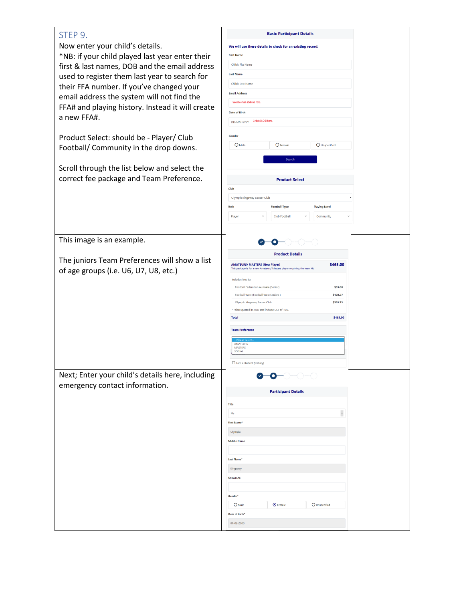### STEP 9.

Now enter your child's details. \*NB: if your child played last year e first & last names, DOB and the em used to register them last year to set their FFA number. If you've change email address the system will not f FFA# and playing history. Instead it a new FFA#.

Product Select: should be - Player/ Football/ Community in the drop d

Scroll through the list below and se correct fee package and Team Pref

|                  |                                                                                                                                                                                                                                                                                                                                                                                                                                            | <b>Basic Participant Details</b> |                                                         |
|------------------|--------------------------------------------------------------------------------------------------------------------------------------------------------------------------------------------------------------------------------------------------------------------------------------------------------------------------------------------------------------------------------------------------------------------------------------------|----------------------------------|---------------------------------------------------------|
|                  | We will use these details to check for an existing record.                                                                                                                                                                                                                                                                                                                                                                                 |                                  |                                                         |
| enter their      | <b>First Name</b>                                                                                                                                                                                                                                                                                                                                                                                                                          |                                  |                                                         |
| nail address     | Childs Fist Name                                                                                                                                                                                                                                                                                                                                                                                                                           |                                  |                                                         |
| search for       | <b>Last Name</b>                                                                                                                                                                                                                                                                                                                                                                                                                           |                                  |                                                         |
|                  | Childs Last Name                                                                                                                                                                                                                                                                                                                                                                                                                           |                                  |                                                         |
| ed your          | <b>Email Address</b>                                                                                                                                                                                                                                                                                                                                                                                                                       |                                  |                                                         |
| find the         | Parents email address here.                                                                                                                                                                                                                                                                                                                                                                                                                |                                  |                                                         |
| t will create    | Date of Birth                                                                                                                                                                                                                                                                                                                                                                                                                              |                                  |                                                         |
|                  | Childs D.O.B here.<br>DD-MM-YYYY                                                                                                                                                                                                                                                                                                                                                                                                           |                                  |                                                         |
|                  |                                                                                                                                                                                                                                                                                                                                                                                                                                            |                                  |                                                         |
| Club             | Gender                                                                                                                                                                                                                                                                                                                                                                                                                                     |                                  |                                                         |
| downs.           | O Male                                                                                                                                                                                                                                                                                                                                                                                                                                     | O Female                         | O Unspecified                                           |
|                  |                                                                                                                                                                                                                                                                                                                                                                                                                                            | Search                           |                                                         |
| elect the        |                                                                                                                                                                                                                                                                                                                                                                                                                                            |                                  |                                                         |
| ference.         |                                                                                                                                                                                                                                                                                                                                                                                                                                            | <b>Product Select</b>            |                                                         |
|                  | Club                                                                                                                                                                                                                                                                                                                                                                                                                                       |                                  |                                                         |
|                  | Olympic Kingsway Soccer Club                                                                                                                                                                                                                                                                                                                                                                                                               |                                  | Ÿ                                                       |
|                  | Role                                                                                                                                                                                                                                                                                                                                                                                                                                       | <b>Football Type</b>             | <b>Playing Level</b>                                    |
|                  | Player<br>$\checkmark$                                                                                                                                                                                                                                                                                                                                                                                                                     | Club Football<br>$\checkmark$    | Community                                               |
|                  |                                                                                                                                                                                                                                                                                                                                                                                                                                            |                                  |                                                         |
| show a list<br>) | <b>AMATEURS/ MASTERS (New Player)</b><br>This package is for a new Amateurs/ Masters player requiring the team kit.<br>Includes fees to:<br>Football Federation Australia (Senior)<br>Football West (Football West Seniors)<br>Olympic Kingsway Soccer Club<br>* Prices quoted in AUD and include GST of 10%.<br><b>Total</b><br><b>Team Preference</b><br><b>AMATEURS</b><br><b>MASTERS</b><br><b>SOCIAL</b><br>I am a student (tertiary) |                                  | \$465.00<br>\$33.00<br>\$128.27<br>\$303.73<br>\$465.00 |
| e, including     |                                                                                                                                                                                                                                                                                                                                                                                                                                            | О                                |                                                         |
|                  |                                                                                                                                                                                                                                                                                                                                                                                                                                            |                                  |                                                         |
|                  |                                                                                                                                                                                                                                                                                                                                                                                                                                            | <b>Participant Details</b>       |                                                         |
|                  | Title                                                                                                                                                                                                                                                                                                                                                                                                                                      |                                  |                                                         |
|                  | Ms                                                                                                                                                                                                                                                                                                                                                                                                                                         |                                  | $\ddot{\phantom{0}}$                                    |
|                  | <b>First Name*</b>                                                                                                                                                                                                                                                                                                                                                                                                                         |                                  |                                                         |
|                  | Olympia                                                                                                                                                                                                                                                                                                                                                                                                                                    |                                  |                                                         |
|                  | <b>Middle Name</b>                                                                                                                                                                                                                                                                                                                                                                                                                         |                                  |                                                         |
|                  |                                                                                                                                                                                                                                                                                                                                                                                                                                            |                                  |                                                         |
|                  | Last Name*                                                                                                                                                                                                                                                                                                                                                                                                                                 |                                  |                                                         |
|                  | Kingsway                                                                                                                                                                                                                                                                                                                                                                                                                                   |                                  |                                                         |
|                  | <b>Known As</b>                                                                                                                                                                                                                                                                                                                                                                                                                            |                                  |                                                         |
|                  |                                                                                                                                                                                                                                                                                                                                                                                                                                            |                                  |                                                         |
|                  | Gender*                                                                                                                                                                                                                                                                                                                                                                                                                                    |                                  |                                                         |

 $O$  Male

Date of Birth\*  $01 - 02 - 2000$   $\odot$  Female

 $\bigcirc$  Unspecified

This image is an example.

The juniors Team Preferences will of age groups (i.e. U6, U7, U8, etc.)

Next; Enter your child's details her emergency contact information.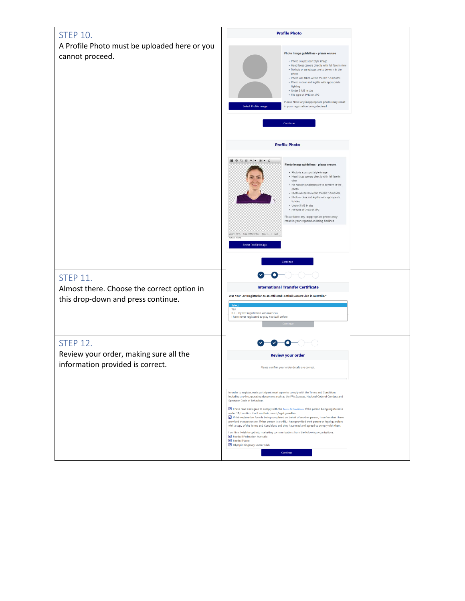